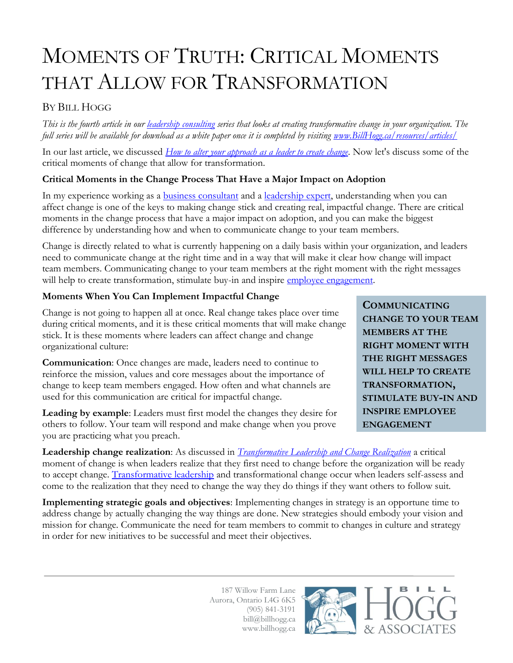# MOMENTS OF TRUTH: CRITICAL MOMENTS THAT ALLOW FOR TRANSFORMATION

## BY BILL HOGG

*This is the fourth article in our [leadership consulting](http://www.billhogg.ca/consulting/leadership/) series that looks at creating transformative change in your organization. The full series will be available for download as a white paper once it is completed by visiting [www.BillHogg.ca/resources/articles/](http://www.billhogg.ca/resources/articles/)*

In our last article, we discussed *[How to alter your approach as a leader to create change.](http://www.billhogg.ca/?p=4210)* Now let's discuss some of the critical moments of change that allow for transformation.

### **Critical Moments in the Change Process That Have a Major Impact on Adoption**

In my experience working as a **business consultant** and a **leadership expert**, understanding when you can affect change is one of the keys to making change stick and creating real, impactful change. There are critical moments in the change process that have a major impact on adoption, and you can make the biggest difference by understanding how and when to communicate change to your team members.

Change is directly related to what is currently happening on a daily basis within your organization, and leaders need to communicate change at the right time and in a way that will make it clear how change will impact team members. Communicating change to your team members at the right moment with the right messages will help to create transformation, stimulate buy-in and inspire [employee engagement.](http://www.billhogg.ca/2011/12/5-ways-managers-should-support-their-employees/)

### **Moments When You Can Implement Impactful Change**

Change is not going to happen all at once. Real change takes place over time during critical moments, and it is these critical moments that will make change stick. It is these moments where leaders can affect change and change organizational culture:

**Communication**: Once changes are made, leaders need to continue to reinforce the mission, values and core messages about the importance of change to keep team members engaged. How often and what channels are used for this communication are critical for impactful change.

**Leading by example**: Leaders must first model the changes they desire for others to follow. Your team will respond and make change when you prove you are practicing what you preach.

**COMMUNICATING CHANGE TO YOUR TEAM MEMBERS AT THE RIGHT MOMENT WITH THE RIGHT MESSAGES WILL HELP TO CREATE TRANSFORMATION, STIMULATE BUY-IN AND INSPIRE EMPLOYEE ENGAGEMENT**

**Leadership change realization**: As discussed in *[Transformative Leadership and Change Realization](http://www.billhogg.ca/2014/01/leadership-consulting-series-transformative-leadership-and-change-realization/)* a critical moment of change is when leaders realize that they first need to change before the organization will be ready to accept change. [Transformative leadership](http://www.billhogg.ca/consulting/leadership/) and transformational change occur when leaders self-assess and come to the realization that they need to change the way they do things if they want others to follow suit.

**Implementing strategic goals and objectives**: Implementing changes in strategy is an opportune time to address change by actually changing the way things are done. New strategies should embody your vision and mission for change. Communicate the need for team members to commit to changes in culture and strategy in order for new initiatives to be successful and meet their objectives.

> 187 Willow Farm Lane Aurora, Ontario L4G 6K5 (905) 841-3191 bill@billhogg.ca www.billhogg.ca